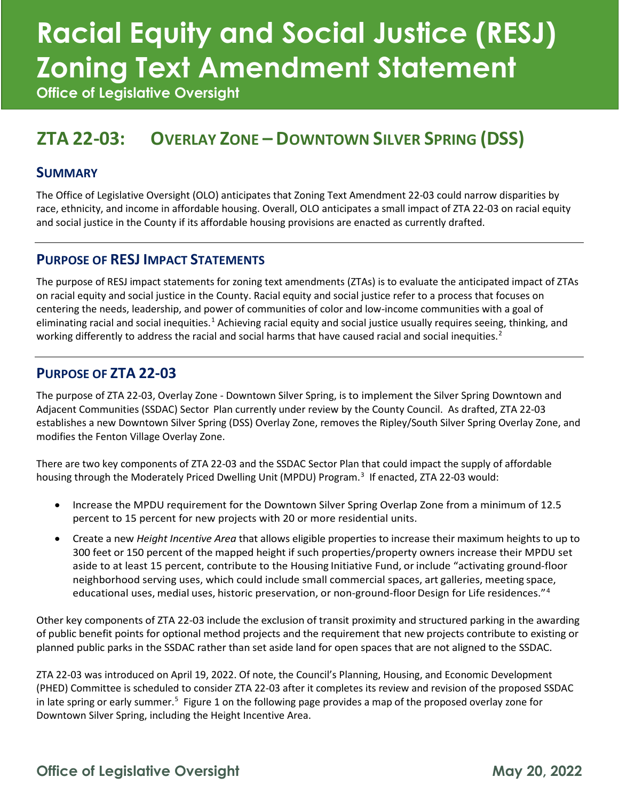# **Racial Equity and Social Justice (RESJ) Zoning Text Amendment Statement**

**Office of Legislative Oversight**

### **ZTA 22-03: OVERLAY ZONE – DOWNTOWN SILVER SPRING (DSS)**

#### **SUMMARY**

The Office of Legislative Oversight (OLO) anticipates that Zoning Text Amendment 22-03 could narrow disparities by race, ethnicity, and income in affordable housing. Overall, OLO anticipates a small impact of ZTA 22-03 on racial equity and social justice in the County if its affordable housing provisions are enacted as currently drafted.

#### **PURPOSE OF RESJ IMPACT STATEMENTS**

The purpose of RESJ impact statements for zoning text amendments (ZTAs) is to evaluate the anticipated impact of ZTAs on racial equity and social justice in the County. Racial equity and social justice refer to a process that focuses on centering the needs, leadership, and power of communities of color and low-income communities with a goal of eliminating racial and social inequities.<sup>[1](#page-3-0)</sup> Achieving racial equity and social justice usually requires seeing, thinking, and working differently to address the racial and social harms that have caused racial and social inequities.<sup>[2](#page-3-1)</sup>

#### **PURPOSE OF ZTA 22-03**

The purpose of ZTA 22-03, Overlay Zone - Downtown Silver Spring, is to implement the Silver Spring Downtown and Adjacent Communities (SSDAC) Sector Plan currently under review by the County Council. As drafted, ZTA 22-03 establishes a new Downtown Silver Spring (DSS) Overlay Zone, removes the Ripley/South Silver Spring Overlay Zone, and modifies the Fenton Village Overlay Zone.

There are two key components of ZTA 22-03 and the SSDAC Sector Plan that could impact the supply of affordable housing through the Moderately Priced Dwelling Unit (MPDU) Program. [3](#page-3-2) If enacted, ZTA 22-03 would:

- Increase the MPDU requirement for the Downtown Silver Spring Overlap Zone from a minimum of 12.5 percent to 15 percent for new projects with 20 or more residential units.
- Create a new *Height Incentive Area* that allows eligible properties to increase their maximum heights to up to 300 feet or 150 percent of the mapped height if such properties/property owners increase their MPDU set aside to at least 15 percent, contribute to the Housing Initiative Fund, or include "activating ground-floor neighborhood serving uses, which could include small commercial spaces, art galleries, meeting space, educational uses, medial uses, historic preservation, or non-ground-floor Design for Life residences."<sup>[4](#page-3-3)</sup>

Other key components of ZTA 22-03 include the exclusion of transit proximity and structured parking in the awarding of public benefit points for optional method projects and the requirement that new projects contribute to existing or planned public parks in the SSDAC rather than set aside land for open spaces that are not aligned to the SSDAC.

ZTA 22-03 was introduced on April 19, 2022. Of note, the Council's Planning, Housing, and Economic Development (PHED) Committee is scheduled to consider ZTA 22-03 after it completes its review and revision of the proposed SSDAC in late spring or early summer.<sup>[5](#page-3-4)</sup> Figure 1 on the following page provides a map of the proposed overlay zone for Downtown Silver Spring, including the Height Incentive Area.

### **Office of Legislative Oversight May 20, 2022**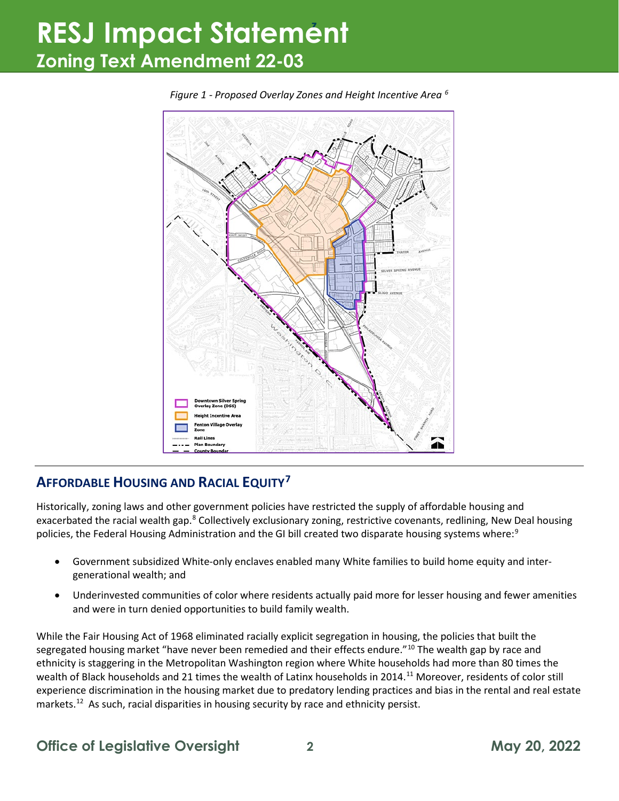## **<sup>z</sup>RESJ Impact Statement Zoning Text Amendment 22-03**



*Figure 1 - Proposed Overlay Zones and Height Incentive Area [6](#page-3-5)*

### **AFFORDABLE HOUSING AND RACIAL EQUITY[7](#page-3-6)**

Historically, zoning laws and other government policies have restricted the supply of affordable housing and exacerbated the racial wealth gap.<sup>[8](#page-3-7)</sup> Collectively exclusionary zoning, restrictive covenants, redlining, New Deal housing policies, the Federal Housing Administration and the GI bill created two disparate housing systems where:<sup>[9](#page-3-8)</sup>

- Government subsidized White-only enclaves enabled many White families to build home equity and intergenerational wealth; and
- Underinvested communities of color where residents actually paid more for lesser housing and fewer amenities and were in turn denied opportunities to build family wealth.

While the Fair Housing Act of 1968 eliminated racially explicit segregation in housing, the policies that built the segregated housing market "have never been remedied and their effects endure."<sup>[10](#page-3-9)</sup> The wealth gap by race and ethnicity is staggering in the Metropolitan Washington region where White households had more than 80 times the wealth of Black households and 21 times the wealth of Latinx households in 2014.[11](#page-3-10) Moreover, residents of color still experience discrimination in the housing market due to predatory lending practices and bias in the rental and real estate markets.<sup>12</sup> As such, racial disparities in housing security by race and ethnicity persist.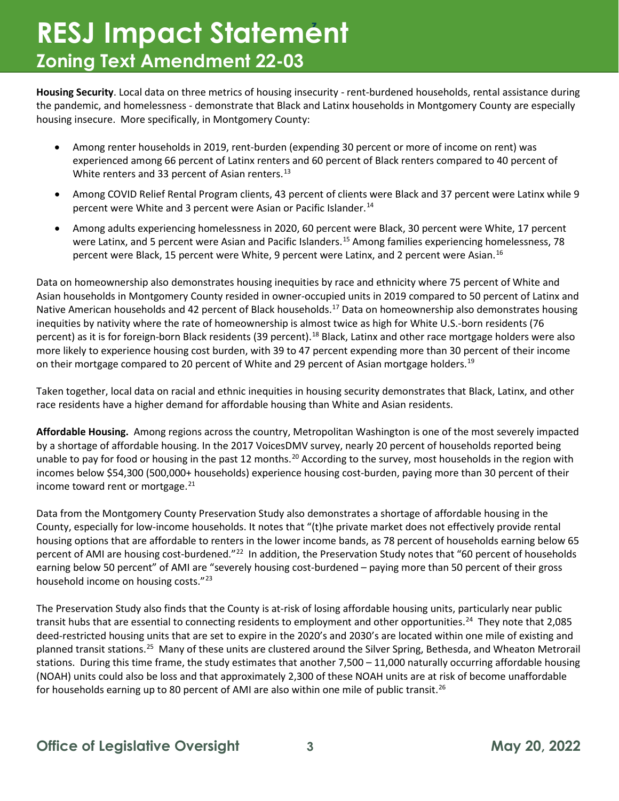## **<sup>z</sup> RESJ Impact Statement Zoning Text Amendment 22-03**

**Housing Security**. Local data on three metrics of housing insecurity - rent-burdened households, rental assistance during the pandemic, and homelessness - demonstrate that Black and Latinx households in Montgomery County are especially housing insecure. More specifically, in Montgomery County:

- Among renter households in 2019, rent-burden (expending 30 percent or more of income on rent) was experienced among 66 percent of Latinx renters and 60 percent of Black renters compared to 40 percent of White renters and 33 percent of Asian renters.<sup>13</sup>
- Among COVID Relief Rental Program clients, 43 percent of clients were Black and 37 percent were Latinx while 9 percent were White and 3 percent were Asian or Pacific Islander.<sup>[14](#page-4-0)</sup>
- Among adults experiencing homelessness in 2020, 60 percent were Black, 30 percent were White, 17 percent were Latinx, and 5 percent were Asian and Pacific Islanders.<sup>[15](#page-4-1)</sup> Among families experiencing homelessness, 78 percent were Black, 15 percent were White, 9 percent were Latinx, and 2 percent were Asian.[16](#page-4-2)

Data on homeownership also demonstrates housing inequities by race and ethnicity where 75 percent of White and Asian households in Montgomery County resided in owner-occupied units in 2019 compared to 50 percent of Latinx and Native American households and 42 percent of Black households.<sup>[17](#page-4-3)</sup> Data on homeownership also demonstrates housing inequities by nativity where the rate of homeownership is almost twice as high for White U.S.-born residents (76 percent) as it is for foreign-born Black residents (39 percent).<sup>[18](#page-4-4)</sup> Black, Latinx and other race mortgage holders were also more likely to experience housing cost burden, with 39 to 47 percent expending more than 30 percent of their income on their mortgage compared to 20 percent of White and 29 percent of Asian mortgage holders.<sup>19</sup>

Taken together, local data on racial and ethnic inequities in housing security demonstrates that Black, Latinx, and other race residents have a higher demand for affordable housing than White and Asian residents.

**Affordable Housing.** Among regions across the country, Metropolitan Washington is one of the most severely impacted by a shortage of affordable housing. In the 2017 VoicesDMV survey, nearly 20 percent of households reported being unable to pay for food or housing in the past 12 months.<sup>[20](#page-4-6)</sup> According to the survey, most households in the region with incomes below \$54,300 (500,000+ households) experience housing cost-burden, paying more than 30 percent of their income toward rent or mortgage. $^{21}$  $^{21}$  $^{21}$ 

Data from the Montgomery County Preservation Study also demonstrates a shortage of affordable housing in the County, especially for low-income households. It notes that "(t)he private market does not effectively provide rental housing options that are affordable to renters in the lower income bands, as 78 percent of households earning below 65 percent of AMI are housing cost-burdened."<sup>22</sup> In addition, the Preservation Study notes that "60 percent of households earning below 50 percent" of AMI are "severely housing cost-burdened – paying more than 50 percent of their gross household income on housing costs."[23](#page-4-9)

The Preservation Study also finds that the County is at-risk of losing affordable housing units, particularly near public transit hubs that are essential to connecting residents to employment and other opportunities.<sup>24</sup> They note that 2,085 deed-restricted housing units that are set to expire in the 2020's and 2030's are located within one mile of existing and planned transit stations.[25](#page-4-11) Many of these units are clustered around the Silver Spring, Bethesda, and Wheaton Metrorail stations. During this time frame, the study estimates that another 7,500 – 11,000 naturally occurring affordable housing (NOAH) units could also be loss and that approximately 2,300 of these NOAH units are at risk of become unaffordable for households earning up to 80 percent of AMI are also within one mile of public transit.<sup>[26](#page-4-12)</sup>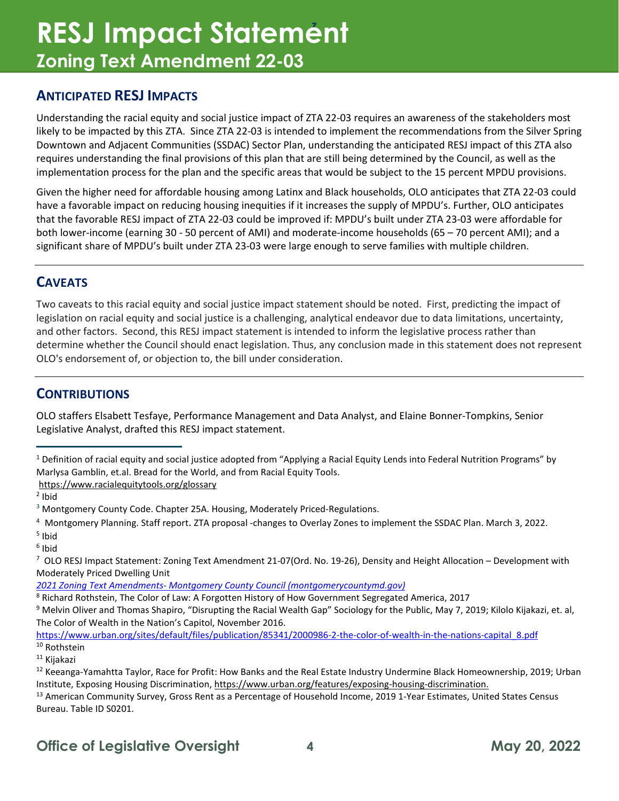## **<sup>z</sup>RESJ Impact Statement Zoning Text Amendment 22-03**

### **ANTICIPATED RESJ IMPACTS**

Understanding the racial equity and social justice impact of ZTA 22-03 requires an awareness of the stakeholders most likely to be impacted by this ZTA. Since ZTA 22-03 is intended to implement the recommendations from the Silver Spring Downtown and Adjacent Communities (SSDAC) Sector Plan, understanding the anticipated RESJ impact of this ZTA also requires understanding the final provisions of this plan that are still being determined by the Council, as well as the implementation process for the plan and the specific areas that would be subject to the 15 percent MPDU provisions.

Given the higher need for affordable housing among Latinx and Black households, OLO anticipates that ZTA 22-03 could have a favorable impact on reducing housing inequities if it increases the supply of MPDU's. Further, OLO anticipates that the favorable RESJ impact of ZTA 22-03 could be improved if: MPDU's built under ZTA 23-03 were affordable for both lower-income (earning 30 - 50 percent of AMI) and moderate-income households (65 – 70 percent AMI); and a significant share of MPDU's built under ZTA 23-03 were large enough to serve families with multiple children.

### **CAVEATS**

Two caveats to this racial equity and social justice impact statement should be noted. First, predicting the impact of legislation on racial equity and social justice is a challenging, analytical endeavor due to data limitations, uncertainty, and other factors. Second, this RESJ impact statement is intended to inform the legislative process rather than determine whether the Council should enact legislation. Thus, any conclusion made in this statement does not represent OLO's endorsement of, or objection to, the bill under consideration.

### **CONTRIBUTIONS**

OLO staffers Elsabett Tesfaye, Performance Management and Data Analyst, and Elaine Bonner-Tompkins, Senior Legislative Analyst, drafted this RESJ impact statement.

<span id="page-3-0"></span><sup>&</sup>lt;sup>1</sup> Definition of racial equity and social justice adopted from "Applying a Racial Equity Lends into Federal Nutrition Programs" by Marlysa Gamblin, et.al. Bread for the World, and from Racial Equity Tools.

https://www.racialequitytools.org/glossary<br><sup>2</sup> Ibid

<span id="page-3-1"></span>

<span id="page-3-2"></span><sup>&</sup>lt;sup>3</sup> Montgomery County Code. Chapter 25A. Housing, Moderately Priced-Regulations.

<span id="page-3-3"></span><sup>&</sup>lt;sup>4</sup> Montgomery Planning. Staff report. ZTA proposal -changes to Overlay Zones to implement the SSDAC Plan. March 3, 2022.<br><sup>5</sup> Ibid

<span id="page-3-4"></span>

<span id="page-3-5"></span><sup>6</sup> Ibid

<span id="page-3-6"></span><sup>&</sup>lt;sup>7</sup> OLO RESJ Impact Statement: Zoning Text Amendment 21-07(Ord. No. 19-26), Density and Height Allocation – Development with Moderately Priced Dwelling Unit

*[<sup>2021</sup> Zoning Text Amendments- Montgomery County Council \(montgomerycountymd.gov\)](https://www.montgomerycountymd.gov/COUNCIL/leg/zta/2021.html)*

<span id="page-3-7"></span><sup>8</sup> Richard Rothstein, The Color of Law: A Forgotten History of How Government Segregated America, 2017

<span id="page-3-8"></span><sup>&</sup>lt;sup>9</sup> Melvin Oliver and Thomas Shapiro, "Disrupting the Racial Wealth Gap" Sociology for the Public, May 7, 2019; Kilolo Kijakazi, et. al, The Color of Wealth in the Nation's Capitol, November 2016.

<span id="page-3-9"></span>[https://www.urban.org/sites/default/files/publication/85341/2000986-2-the-color-of-wealth-in-the-nations-capital\\_8.pdf](https://www.urban.org/sites/default/files/publication/85341/2000986-2-the-color-of-wealth-in-the-nations-capital_8.pdf) <sup>10</sup> Rothstein

<span id="page-3-10"></span><sup>11</sup> Kijakazi

<span id="page-3-11"></span><sup>&</sup>lt;sup>12</sup> Keeanga-Yamahtta Taylor, Race for Profit: How Banks and the Real Estate Industry Undermine Black Homeownership, 2019; Urban Institute, Exposing Housing Discrimination, [https://www.urban.org/features/exposing-housing-discrimination.](https://www.urban.org/features/exposing-housing-discrimination)<br><sup>13</sup> American Community Survey, Gross Rent as a Percentage of Household Income, 2019 1-Year Estimates, United Stat

<span id="page-3-12"></span>Bureau. Table ID S0201.